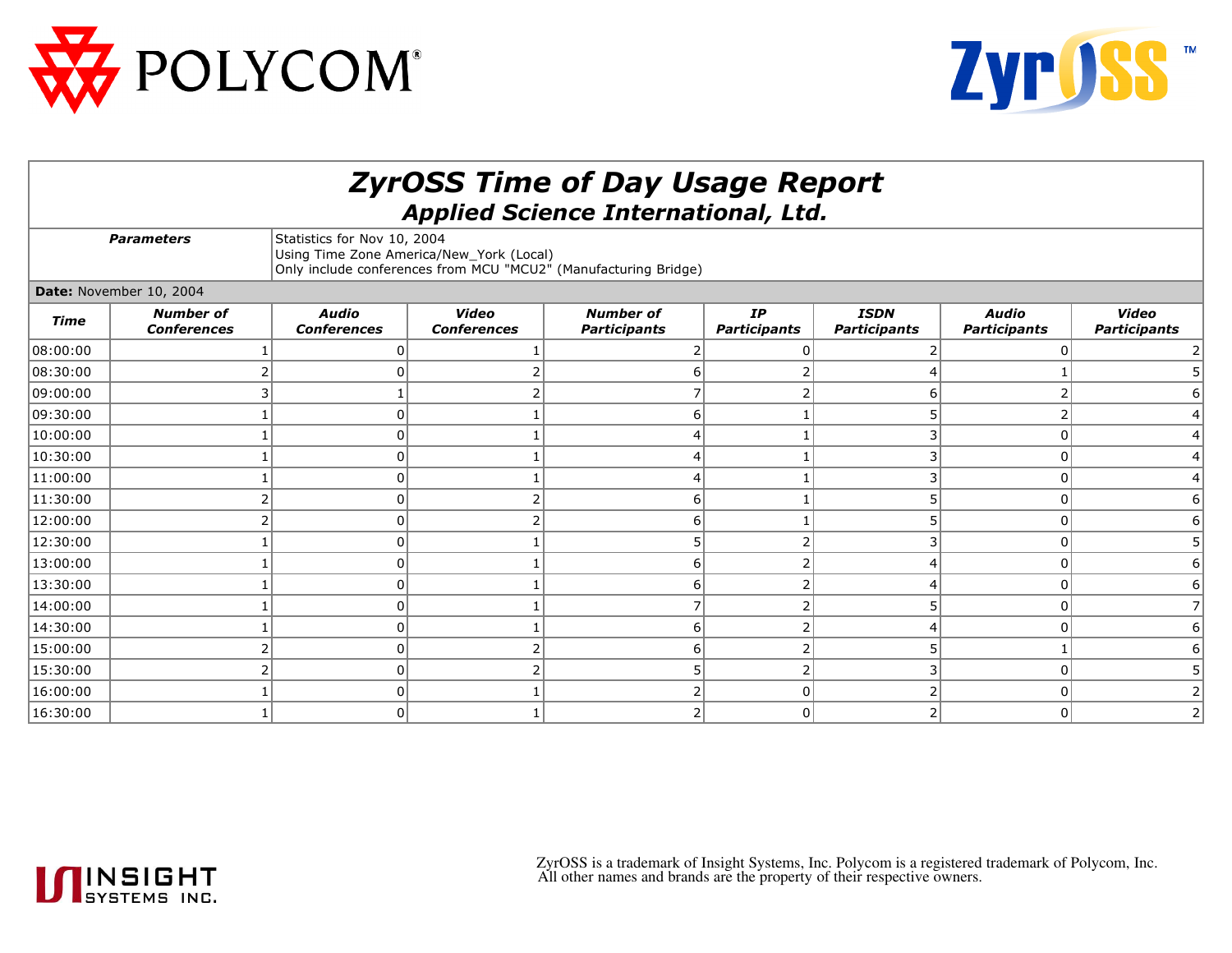



| <b>ZyrOSS Time of Day Usage Report</b><br><b>Applied Science International, Ltd.</b> |                                        |                                                                                                                                            |                                    |                                         |                           |                                    |                                     |                                     |  |  |  |  |
|--------------------------------------------------------------------------------------|----------------------------------------|--------------------------------------------------------------------------------------------------------------------------------------------|------------------------------------|-----------------------------------------|---------------------------|------------------------------------|-------------------------------------|-------------------------------------|--|--|--|--|
| <b>Parameters</b>                                                                    |                                        | Statistics for Nov 10, 2004<br>Using Time Zone America/New_York (Local)<br>Only include conferences from MCU "MCU2" (Manufacturing Bridge) |                                    |                                         |                           |                                    |                                     |                                     |  |  |  |  |
| Date: November 10, 2004                                                              |                                        |                                                                                                                                            |                                    |                                         |                           |                                    |                                     |                                     |  |  |  |  |
| Time                                                                                 | <b>Number of</b><br><b>Conferences</b> | <b>Audio</b><br><b>Conferences</b>                                                                                                         | <b>Video</b><br><b>Conferences</b> | <b>Number of</b><br><b>Participants</b> | IP<br><b>Participants</b> | <b>ISDN</b><br><b>Participants</b> | <b>Audio</b><br><b>Participants</b> | <b>Video</b><br><b>Participants</b> |  |  |  |  |
| 08:00:00                                                                             |                                        |                                                                                                                                            |                                    |                                         |                           |                                    |                                     |                                     |  |  |  |  |
| 08:30:00                                                                             |                                        |                                                                                                                                            |                                    |                                         |                           |                                    |                                     | 5                                   |  |  |  |  |
| 09:00:00                                                                             |                                        |                                                                                                                                            |                                    |                                         |                           |                                    |                                     |                                     |  |  |  |  |
| 09:30:00                                                                             |                                        |                                                                                                                                            |                                    | F                                       |                           |                                    |                                     |                                     |  |  |  |  |
| 10:00:00                                                                             |                                        |                                                                                                                                            |                                    |                                         |                           |                                    | 0                                   |                                     |  |  |  |  |
| 10:30:00                                                                             |                                        |                                                                                                                                            |                                    |                                         |                           |                                    | $\mathbf{0}$                        |                                     |  |  |  |  |
| 11:00:00                                                                             |                                        |                                                                                                                                            |                                    |                                         |                           |                                    | $\Omega$                            | 4                                   |  |  |  |  |
| 11:30:00                                                                             |                                        | n                                                                                                                                          |                                    | 6                                       |                           |                                    | $\overline{0}$                      | 6                                   |  |  |  |  |
| 12:00:00                                                                             |                                        |                                                                                                                                            |                                    | 6                                       |                           |                                    | $\Omega$                            |                                     |  |  |  |  |
| 12:30:00                                                                             |                                        |                                                                                                                                            |                                    |                                         |                           |                                    | 0                                   |                                     |  |  |  |  |
| 13:00:00                                                                             |                                        |                                                                                                                                            |                                    | ŕ                                       |                           |                                    | $\mathbf{0}$                        |                                     |  |  |  |  |
| 13:30:00                                                                             |                                        |                                                                                                                                            |                                    |                                         |                           |                                    | 0                                   | 6                                   |  |  |  |  |
| 14:00:00                                                                             |                                        |                                                                                                                                            |                                    |                                         |                           |                                    | 0                                   | 7                                   |  |  |  |  |
| 14:30:00                                                                             |                                        |                                                                                                                                            |                                    | f                                       |                           |                                    | $\mathbf{0}$                        | 6                                   |  |  |  |  |
| 15:00:00                                                                             |                                        | 0                                                                                                                                          |                                    | 6                                       |                           |                                    |                                     |                                     |  |  |  |  |
| 15:30:00                                                                             |                                        |                                                                                                                                            |                                    |                                         |                           |                                    | 0                                   |                                     |  |  |  |  |
| 16:00:00                                                                             |                                        |                                                                                                                                            |                                    |                                         |                           |                                    | $\overline{0}$                      |                                     |  |  |  |  |
| 16:30:00                                                                             |                                        | U                                                                                                                                          |                                    |                                         | $\cap$                    |                                    | $\Omega$                            |                                     |  |  |  |  |



 ZyrOSS is a trademark of Insight Systems, Inc. Polycom is a registered trademark of Polycom, Inc. All other names and brands are the property of their respective owners.